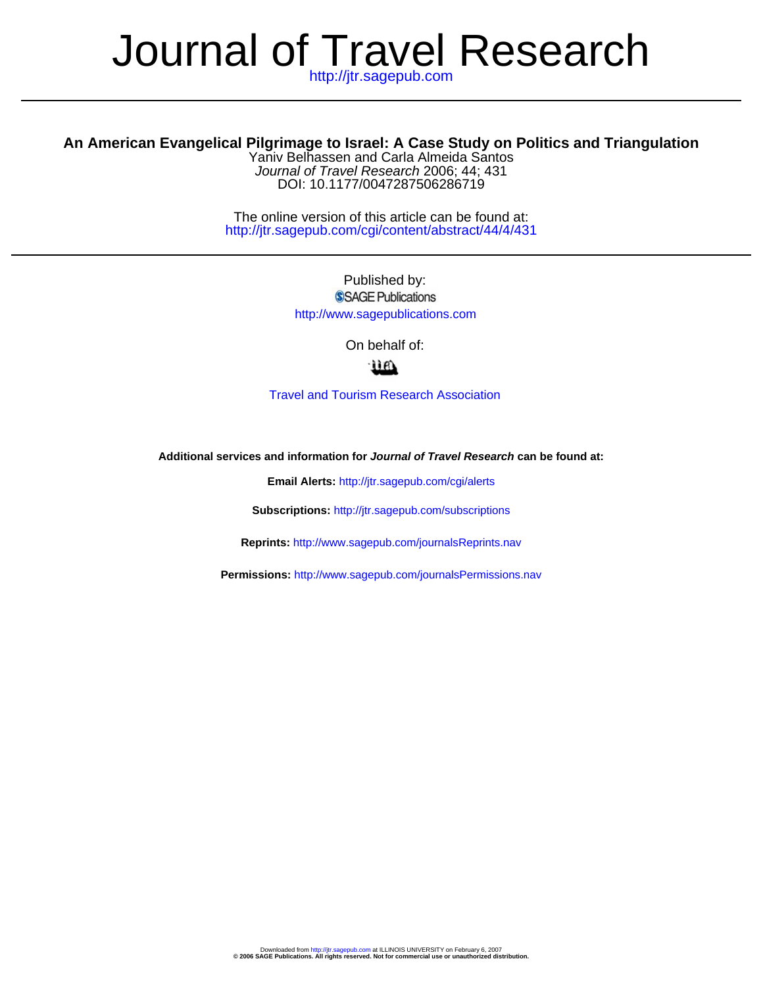# http://jtr.sagepub.com Journal of Travel Research

# **An American Evangelical Pilgrimage to Israel: A Case Study on Politics and Triangulation**

DOI: 10.1177/0047287506286719 Journal of Travel Research 2006; 44; 431 Yaniv Belhassen and Carla Almeida Santos

http://jtr.sagepub.com/cgi/content/abstract/44/4/431 The online version of this article can be found at:

> Published by: SSAGE Publications http://www.sagepublications.com

On behalf of:

# ம்வ

[Travel and Tourism Research Association](http://www.ttra.com)

**Additional services and information for Journal of Travel Research can be found at:**

**Email Alerts:** <http://jtr.sagepub.com/cgi/alerts>

**Subscriptions:** <http://jtr.sagepub.com/subscriptions>

**Reprints:** <http://www.sagepub.com/journalsReprints.nav>

**Permissions:** <http://www.sagepub.com/journalsPermissions.nav>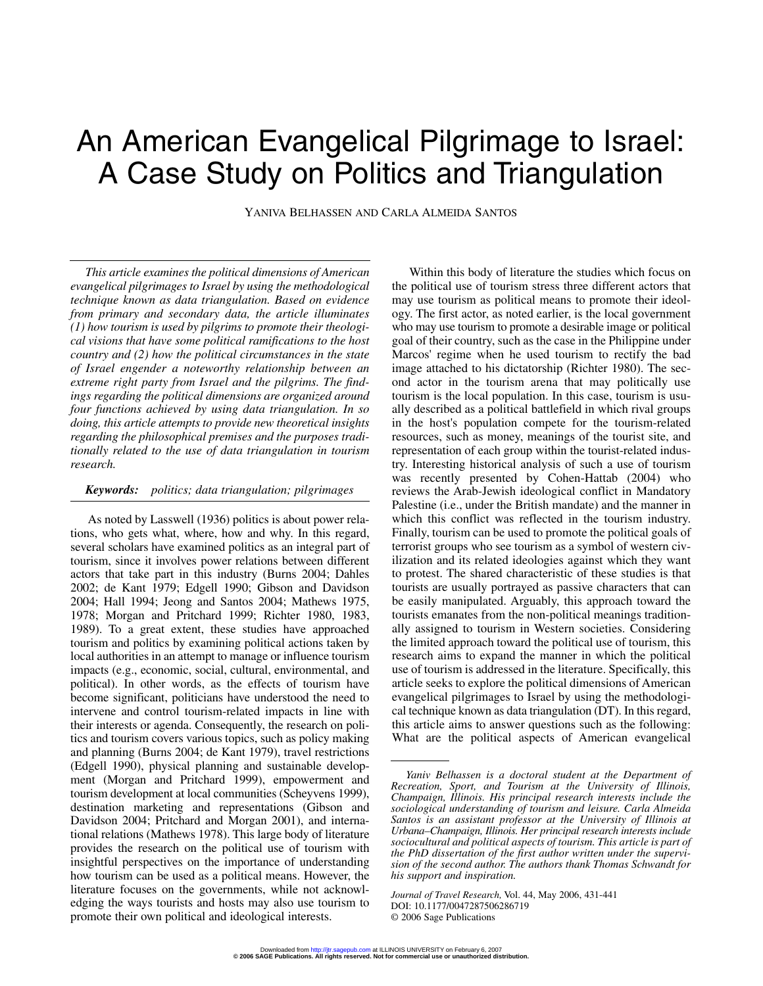# An American Evangelical Pilgrimage to Israel: A Case Study on Politics and Triangulation

YANIVA BELHASSEN AND CARLA ALMEIDA SANTOS

*This article examines the political dimensions of American evangelical pilgrimages to Israel by using the methodological technique known as data triangulation. Based on evidence from primary and secondary data, the article illuminates (1) how tourism is used by pilgrims to promote their theological visions that have some political ramifications to the host country and (2) how the political circumstances in the state of Israel engender a noteworthy relationship between an extreme right party from Israel and the pilgrims. The findings regarding the political dimensions are organized around four functions achieved by using data triangulation. In so doing, this article attempts to provide new theoretical insights regarding the philosophical premises and the purposes traditionally related to the use of data triangulation in tourism research.*

#### *Keywords: politics; data triangulation; pilgrimages*

As noted by Lasswell (1936) politics is about power relations, who gets what, where, how and why. In this regard, several scholars have examined politics as an integral part of tourism, since it involves power relations between different actors that take part in this industry (Burns 2004; Dahles 2002; de Kant 1979; Edgell 1990; Gibson and Davidson 2004; Hall 1994; Jeong and Santos 2004; Mathews 1975, 1978; Morgan and Pritchard 1999; Richter 1980, 1983, 1989). To a great extent, these studies have approached tourism and politics by examining political actions taken by local authorities in an attempt to manage or influence tourism impacts (e.g., economic, social, cultural, environmental, and political). In other words, as the effects of tourism have become significant, politicians have understood the need to intervene and control tourism-related impacts in line with their interests or agenda. Consequently, the research on politics and tourism covers various topics, such as policy making and planning (Burns 2004; de Kant 1979), travel restrictions (Edgell 1990), physical planning and sustainable development (Morgan and Pritchard 1999), empowerment and tourism development at local communities (Scheyvens 1999), destination marketing and representations (Gibson and Davidson 2004; Pritchard and Morgan 2001), and international relations (Mathews 1978). This large body of literature provides the research on the political use of tourism with insightful perspectives on the importance of understanding how tourism can be used as a political means. However, the literature focuses on the governments, while not acknowledging the ways tourists and hosts may also use tourism to promote their own political and ideological interests.

Within this body of literature the studies which focus on the political use of tourism stress three different actors that may use tourism as political means to promote their ideology. The first actor, as noted earlier, is the local government who may use tourism to promote a desirable image or political goal of their country, such as the case in the Philippine under Marcos' regime when he used tourism to rectify the bad image attached to his dictatorship (Richter 1980). The second actor in the tourism arena that may politically use tourism is the local population. In this case, tourism is usually described as a political battlefield in which rival groups in the host's population compete for the tourism-related resources, such as money, meanings of the tourist site, and representation of each group within the tourist-related industry. Interesting historical analysis of such a use of tourism was recently presented by Cohen-Hattab (2004) who reviews the Arab-Jewish ideological conflict in Mandatory Palestine (i.e., under the British mandate) and the manner in which this conflict was reflected in the tourism industry. Finally, tourism can be used to promote the political goals of terrorist groups who see tourism as a symbol of western civilization and its related ideologies against which they want to protest. The shared characteristic of these studies is that tourists are usually portrayed as passive characters that can be easily manipulated. Arguably, this approach toward the tourists emanates from the non-political meanings traditionally assigned to tourism in Western societies. Considering the limited approach toward the political use of tourism, this research aims to expand the manner in which the political use of tourism is addressed in the literature. Specifically, this article seeks to explore the political dimensions of American evangelical pilgrimages to Israel by using the methodological technique known as data triangulation (DT). In this regard, this article aims to answer questions such as the following: What are the political aspects of American evangelical

*Yaniv Belhassen is a doctoral student at the Department of Recreation, Sport, and Tourism at the University of Illinois, Champaign, Illinois. His principal research interests include the sociological understanding of tourism and leisure. Carla Almeida Santos is an assistant professor at the University of Illinois at Urbana–Champaign, Illinois. Her principal research interests include sociocultural and political aspects of tourism. This article is part of the PhD dissertation of the first author written under the supervision of the second author. The authors thank Thomas Schwandt for his support and inspiration.*

*Journal of Travel Research,* Vol. 44, May 2006, 431-441 DOI: 10.1177/0047287506286719 © 2006 Sage Publications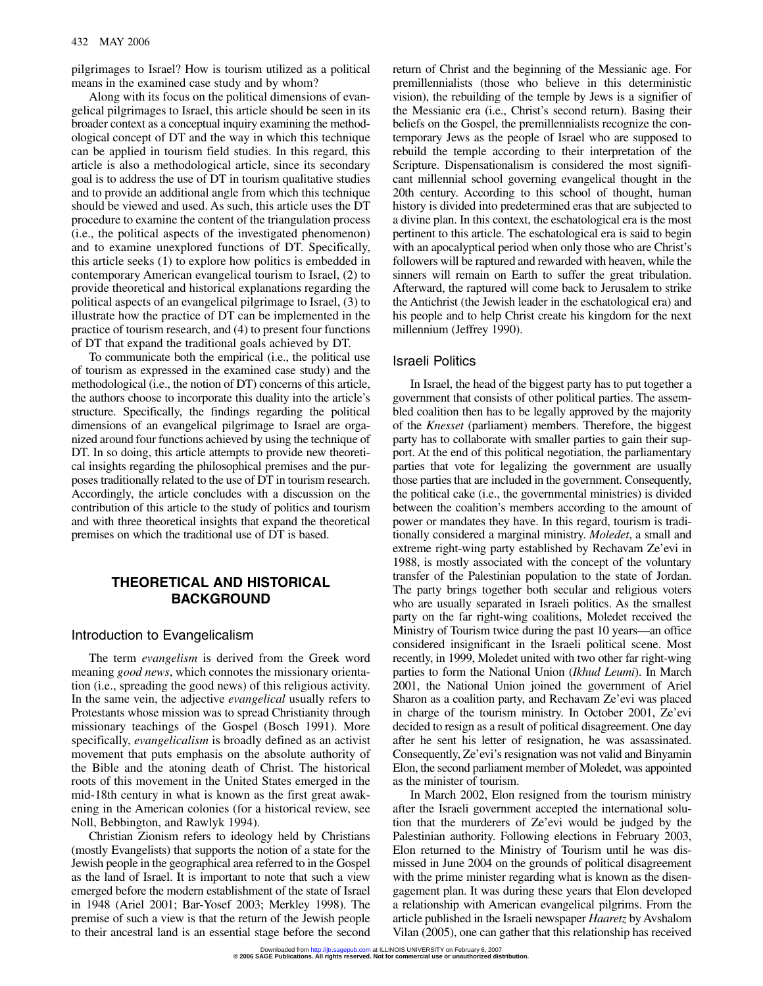pilgrimages to Israel? How is tourism utilized as a political means in the examined case study and by whom?

Along with its focus on the political dimensions of evangelical pilgrimages to Israel, this article should be seen in its broader context as a conceptual inquiry examining the methodological concept of DT and the way in which this technique can be applied in tourism field studies. In this regard, this article is also a methodological article, since its secondary goal is to address the use of DT in tourism qualitative studies and to provide an additional angle from which this technique should be viewed and used. As such, this article uses the DT procedure to examine the content of the triangulation process (i.e., the political aspects of the investigated phenomenon) and to examine unexplored functions of DT. Specifically, this article seeks (1) to explore how politics is embedded in contemporary American evangelical tourism to Israel, (2) to provide theoretical and historical explanations regarding the political aspects of an evangelical pilgrimage to Israel, (3) to illustrate how the practice of DT can be implemented in the practice of tourism research, and (4) to present four functions of DT that expand the traditional goals achieved by DT.

To communicate both the empirical (i.e., the political use of tourism as expressed in the examined case study) and the methodological (i.e., the notion of DT) concerns of this article, the authors choose to incorporate this duality into the article's structure. Specifically, the findings regarding the political dimensions of an evangelical pilgrimage to Israel are organized around four functions achieved by using the technique of DT. In so doing, this article attempts to provide new theoretical insights regarding the philosophical premises and the purposes traditionally related to the use of DT in tourism research. Accordingly, the article concludes with a discussion on the contribution of this article to the study of politics and tourism and with three theoretical insights that expand the theoretical premises on which the traditional use of DT is based.

# **THEORETICAL AND HISTORICAL BACKGROUND**

### Introduction to Evangelicalism

The term *evangelism* is derived from the Greek word meaning *good news*, which connotes the missionary orientation (i.e., spreading the good news) of this religious activity. In the same vein, the adjective *evangelical* usually refers to Protestants whose mission was to spread Christianity through missionary teachings of the Gospel (Bosch 1991). More specifically, *evangelicalism* is broadly defined as an activist movement that puts emphasis on the absolute authority of the Bible and the atoning death of Christ. The historical roots of this movement in the United States emerged in the mid-18th century in what is known as the first great awakening in the American colonies (for a historical review, see Noll, Bebbington, and Rawlyk 1994).

Christian Zionism refers to ideology held by Christians (mostly Evangelists) that supports the notion of a state for the Jewish people in the geographical area referred to in the Gospel as the land of Israel. It is important to note that such a view emerged before the modern establishment of the state of Israel in 1948 (Ariel 2001; Bar-Yosef 2003; Merkley 1998). The premise of such a view is that the return of the Jewish people to their ancestral land is an essential stage before the second return of Christ and the beginning of the Messianic age. For premillennialists (those who believe in this deterministic vision), the rebuilding of the temple by Jews is a signifier of the Messianic era (i.e., Christ's second return). Basing their beliefs on the Gospel, the premillennialists recognize the contemporary Jews as the people of Israel who are supposed to rebuild the temple according to their interpretation of the Scripture. Dispensationalism is considered the most significant millennial school governing evangelical thought in the 20th century. According to this school of thought, human history is divided into predetermined eras that are subjected to a divine plan. In this context, the eschatological era is the most pertinent to this article. The eschatological era is said to begin with an apocalyptical period when only those who are Christ's followers will be raptured and rewarded with heaven, while the sinners will remain on Earth to suffer the great tribulation. Afterward, the raptured will come back to Jerusalem to strike the Antichrist (the Jewish leader in the eschatological era) and his people and to help Christ create his kingdom for the next millennium (Jeffrey 1990).

#### Israeli Politics

In Israel, the head of the biggest party has to put together a government that consists of other political parties. The assembled coalition then has to be legally approved by the majority of the *Knesset* (parliament) members. Therefore, the biggest party has to collaborate with smaller parties to gain their support. At the end of this political negotiation, the parliamentary parties that vote for legalizing the government are usually those parties that are included in the government. Consequently, the political cake (i.e., the governmental ministries) is divided between the coalition's members according to the amount of power or mandates they have. In this regard, tourism is traditionally considered a marginal ministry. *Moledet*, a small and extreme right-wing party established by Rechavam Ze'evi in 1988, is mostly associated with the concept of the voluntary transfer of the Palestinian population to the state of Jordan. The party brings together both secular and religious voters who are usually separated in Israeli politics. As the smallest party on the far right-wing coalitions, Moledet received the Ministry of Tourism twice during the past 10 years—an office considered insignificant in the Israeli political scene. Most recently, in 1999, Moledet united with two other far right-wing parties to form the National Union (*Ikhud Leumi*). In March 2001, the National Union joined the government of Ariel Sharon as a coalition party, and Rechavam Ze'evi was placed in charge of the tourism ministry. In October 2001, Ze'evi decided to resign as a result of political disagreement. One day after he sent his letter of resignation, he was assassinated. Consequently, Ze'evi's resignation was not valid and Binyamin Elon, the second parliament member of Moledet, was appointed as the minister of tourism.

In March 2002, Elon resigned from the tourism ministry after the Israeli government accepted the international solution that the murderers of Ze'evi would be judged by the Palestinian authority. Following elections in February 2003, Elon returned to the Ministry of Tourism until he was dismissed in June 2004 on the grounds of political disagreement with the prime minister regarding what is known as the disengagement plan. It was during these years that Elon developed a relationship with American evangelical pilgrims. From the article published in the Israeli newspaper *Haaretz* by Avshalom Vilan (2005), one can gather that this relationship has received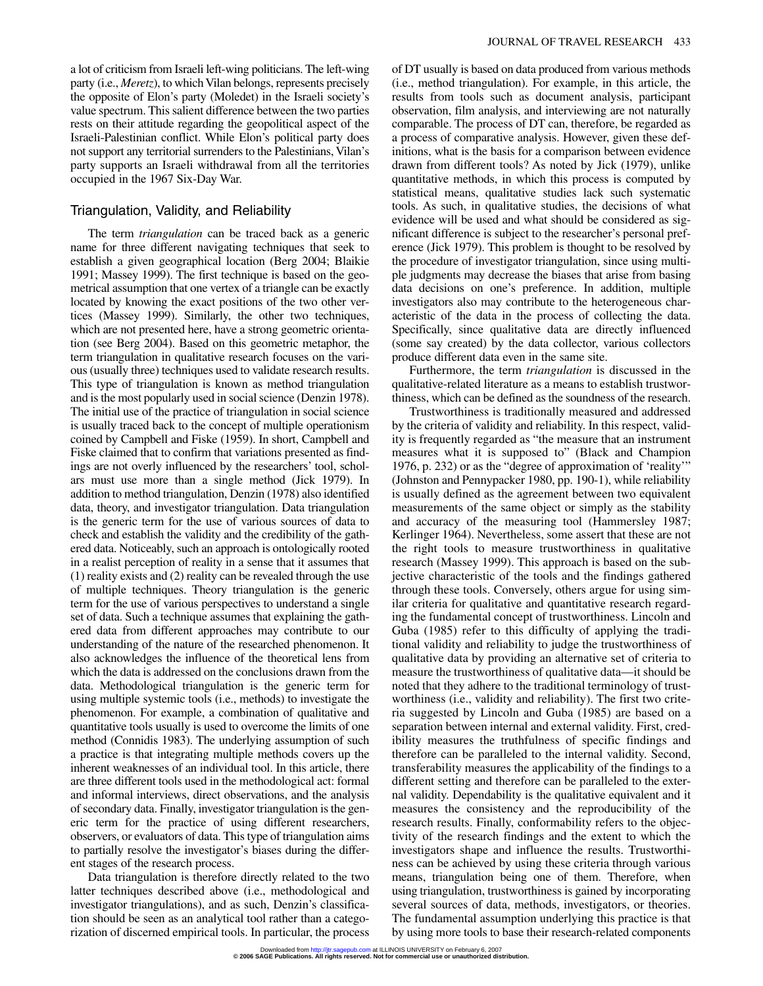a lot of criticism from Israeli left-wing politicians. The left-wing party (i.e., *Meretz*), to which Vilan belongs, represents precisely the opposite of Elon's party (Moledet) in the Israeli society's value spectrum. This salient difference between the two parties rests on their attitude regarding the geopolitical aspect of the Israeli-Palestinian conflict. While Elon's political party does not support any territorial surrenders to the Palestinians, Vilan's party supports an Israeli withdrawal from all the territories occupied in the 1967 Six-Day War.

# Triangulation, Validity, and Reliability

The term *triangulation* can be traced back as a generic name for three different navigating techniques that seek to establish a given geographical location (Berg 2004; Blaikie 1991; Massey 1999). The first technique is based on the geometrical assumption that one vertex of a triangle can be exactly located by knowing the exact positions of the two other vertices (Massey 1999). Similarly, the other two techniques, which are not presented here, have a strong geometric orientation (see Berg 2004). Based on this geometric metaphor, the term triangulation in qualitative research focuses on the various (usually three) techniques used to validate research results. This type of triangulation is known as method triangulation and is the most popularly used in social science (Denzin 1978). The initial use of the practice of triangulation in social science is usually traced back to the concept of multiple operationism coined by Campbell and Fiske (1959). In short, Campbell and Fiske claimed that to confirm that variations presented as findings are not overly influenced by the researchers' tool, scholars must use more than a single method (Jick 1979). In addition to method triangulation, Denzin (1978) also identified data, theory, and investigator triangulation. Data triangulation is the generic term for the use of various sources of data to check and establish the validity and the credibility of the gathered data. Noticeably, such an approach is ontologically rooted in a realist perception of reality in a sense that it assumes that (1) reality exists and (2) reality can be revealed through the use of multiple techniques. Theory triangulation is the generic term for the use of various perspectives to understand a single set of data. Such a technique assumes that explaining the gathered data from different approaches may contribute to our understanding of the nature of the researched phenomenon. It also acknowledges the influence of the theoretical lens from which the data is addressed on the conclusions drawn from the data. Methodological triangulation is the generic term for using multiple systemic tools (i.e., methods) to investigate the phenomenon. For example, a combination of qualitative and quantitative tools usually is used to overcome the limits of one method (Connidis 1983). The underlying assumption of such a practice is that integrating multiple methods covers up the inherent weaknesses of an individual tool. In this article, there are three different tools used in the methodological act: formal and informal interviews, direct observations, and the analysis of secondary data. Finally, investigator triangulation is the generic term for the practice of using different researchers, observers, or evaluators of data. This type of triangulation aims to partially resolve the investigator's biases during the different stages of the research process.

Data triangulation is therefore directly related to the two latter techniques described above (i.e., methodological and investigator triangulations), and as such, Denzin's classification should be seen as an analytical tool rather than a categorization of discerned empirical tools. In particular, the process of DT usually is based on data produced from various methods (i.e., method triangulation). For example, in this article, the results from tools such as document analysis, participant observation, film analysis, and interviewing are not naturally comparable. The process of DT can, therefore, be regarded as a process of comparative analysis. However, given these definitions, what is the basis for a comparison between evidence drawn from different tools? As noted by Jick (1979), unlike quantitative methods, in which this process is computed by statistical means, qualitative studies lack such systematic tools. As such, in qualitative studies, the decisions of what evidence will be used and what should be considered as significant difference is subject to the researcher's personal preference (Jick 1979). This problem is thought to be resolved by the procedure of investigator triangulation, since using multiple judgments may decrease the biases that arise from basing data decisions on one's preference. In addition, multiple investigators also may contribute to the heterogeneous characteristic of the data in the process of collecting the data. Specifically, since qualitative data are directly influenced (some say created) by the data collector, various collectors produce different data even in the same site.

Furthermore, the term *triangulation* is discussed in the qualitative-related literature as a means to establish trustworthiness, which can be defined as the soundness of the research.

Trustworthiness is traditionally measured and addressed by the criteria of validity and reliability. In this respect, validity is frequently regarded as "the measure that an instrument measures what it is supposed to" (Black and Champion 1976, p. 232) or as the "degree of approximation of 'reality'" (Johnston and Pennypacker 1980, pp. 190-1), while reliability is usually defined as the agreement between two equivalent measurements of the same object or simply as the stability and accuracy of the measuring tool (Hammersley 1987; Kerlinger 1964). Nevertheless, some assert that these are not the right tools to measure trustworthiness in qualitative research (Massey 1999). This approach is based on the subjective characteristic of the tools and the findings gathered through these tools. Conversely, others argue for using similar criteria for qualitative and quantitative research regarding the fundamental concept of trustworthiness. Lincoln and Guba (1985) refer to this difficulty of applying the traditional validity and reliability to judge the trustworthiness of qualitative data by providing an alternative set of criteria to measure the trustworthiness of qualitative data—it should be noted that they adhere to the traditional terminology of trustworthiness (i.e., validity and reliability). The first two criteria suggested by Lincoln and Guba (1985) are based on a separation between internal and external validity. First, credibility measures the truthfulness of specific findings and therefore can be paralleled to the internal validity. Second, transferability measures the applicability of the findings to a different setting and therefore can be paralleled to the external validity. Dependability is the qualitative equivalent and it measures the consistency and the reproducibility of the research results. Finally, conformability refers to the objectivity of the research findings and the extent to which the investigators shape and influence the results. Trustworthiness can be achieved by using these criteria through various means, triangulation being one of them. Therefore, when using triangulation, trustworthiness is gained by incorporating several sources of data, methods, investigators, or theories. The fundamental assumption underlying this practice is that by using more tools to base their research-related components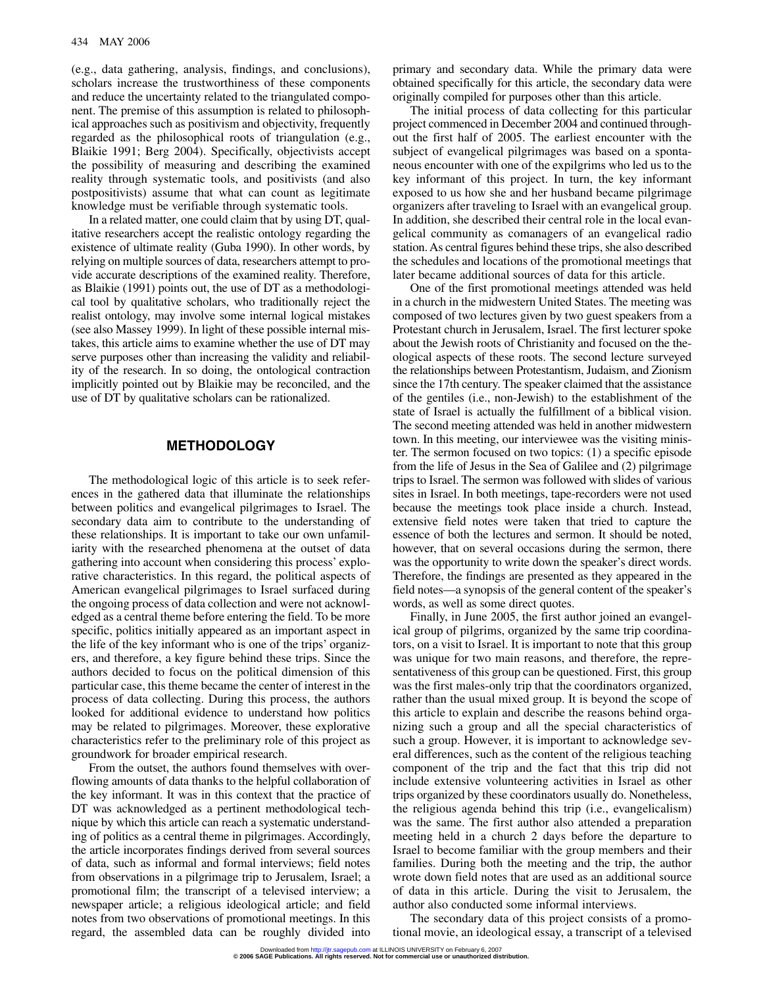(e.g., data gathering, analysis, findings, and conclusions), scholars increase the trustworthiness of these components and reduce the uncertainty related to the triangulated component. The premise of this assumption is related to philosophical approaches such as positivism and objectivity, frequently regarded as the philosophical roots of triangulation (e.g., Blaikie 1991; Berg 2004). Specifically, objectivists accept the possibility of measuring and describing the examined reality through systematic tools, and positivists (and also postpositivists) assume that what can count as legitimate knowledge must be verifiable through systematic tools.

In a related matter, one could claim that by using DT, qualitative researchers accept the realistic ontology regarding the existence of ultimate reality (Guba 1990). In other words, by relying on multiple sources of data, researchers attempt to provide accurate descriptions of the examined reality. Therefore, as Blaikie (1991) points out, the use of DT as a methodological tool by qualitative scholars, who traditionally reject the realist ontology, may involve some internal logical mistakes (see also Massey 1999). In light of these possible internal mistakes, this article aims to examine whether the use of DT may serve purposes other than increasing the validity and reliability of the research. In so doing, the ontological contraction implicitly pointed out by Blaikie may be reconciled, and the use of DT by qualitative scholars can be rationalized.

### **METHODOLOGY**

The methodological logic of this article is to seek references in the gathered data that illuminate the relationships between politics and evangelical pilgrimages to Israel. The secondary data aim to contribute to the understanding of these relationships. It is important to take our own unfamiliarity with the researched phenomena at the outset of data gathering into account when considering this process' explorative characteristics. In this regard, the political aspects of American evangelical pilgrimages to Israel surfaced during the ongoing process of data collection and were not acknowledged as a central theme before entering the field. To be more specific, politics initially appeared as an important aspect in the life of the key informant who is one of the trips' organizers, and therefore, a key figure behind these trips. Since the authors decided to focus on the political dimension of this particular case, this theme became the center of interest in the process of data collecting. During this process, the authors looked for additional evidence to understand how politics may be related to pilgrimages. Moreover, these explorative characteristics refer to the preliminary role of this project as groundwork for broader empirical research.

From the outset, the authors found themselves with overflowing amounts of data thanks to the helpful collaboration of the key informant. It was in this context that the practice of DT was acknowledged as a pertinent methodological technique by which this article can reach a systematic understanding of politics as a central theme in pilgrimages. Accordingly, the article incorporates findings derived from several sources of data, such as informal and formal interviews; field notes from observations in a pilgrimage trip to Jerusalem, Israel; a promotional film; the transcript of a televised interview; a newspaper article; a religious ideological article; and field notes from two observations of promotional meetings. In this regard, the assembled data can be roughly divided into

primary and secondary data. While the primary data were obtained specifically for this article, the secondary data were originally compiled for purposes other than this article.

The initial process of data collecting for this particular project commenced in December 2004 and continued throughout the first half of 2005. The earliest encounter with the subject of evangelical pilgrimages was based on a spontaneous encounter with one of the expilgrims who led us to the key informant of this project. In turn, the key informant exposed to us how she and her husband became pilgrimage organizers after traveling to Israel with an evangelical group. In addition, she described their central role in the local evangelical community as comanagers of an evangelical radio station. As central figures behind these trips, she also described the schedules and locations of the promotional meetings that later became additional sources of data for this article.

One of the first promotional meetings attended was held in a church in the midwestern United States. The meeting was composed of two lectures given by two guest speakers from a Protestant church in Jerusalem, Israel. The first lecturer spoke about the Jewish roots of Christianity and focused on the theological aspects of these roots. The second lecture surveyed the relationships between Protestantism, Judaism, and Zionism since the 17th century. The speaker claimed that the assistance of the gentiles (i.e., non-Jewish) to the establishment of the state of Israel is actually the fulfillment of a biblical vision. The second meeting attended was held in another midwestern town. In this meeting, our interviewee was the visiting minister. The sermon focused on two topics: (1) a specific episode from the life of Jesus in the Sea of Galilee and (2) pilgrimage trips to Israel. The sermon was followed with slides of various sites in Israel. In both meetings, tape-recorders were not used because the meetings took place inside a church. Instead, extensive field notes were taken that tried to capture the essence of both the lectures and sermon. It should be noted, however, that on several occasions during the sermon, there was the opportunity to write down the speaker's direct words. Therefore, the findings are presented as they appeared in the field notes—a synopsis of the general content of the speaker's words, as well as some direct quotes.

Finally, in June 2005, the first author joined an evangelical group of pilgrims, organized by the same trip coordinators, on a visit to Israel. It is important to note that this group was unique for two main reasons, and therefore, the representativeness of this group can be questioned. First, this group was the first males-only trip that the coordinators organized, rather than the usual mixed group. It is beyond the scope of this article to explain and describe the reasons behind organizing such a group and all the special characteristics of such a group. However, it is important to acknowledge several differences, such as the content of the religious teaching component of the trip and the fact that this trip did not include extensive volunteering activities in Israel as other trips organized by these coordinators usually do. Nonetheless, the religious agenda behind this trip (i.e., evangelicalism) was the same. The first author also attended a preparation meeting held in a church 2 days before the departure to Israel to become familiar with the group members and their families. During both the meeting and the trip, the author wrote down field notes that are used as an additional source of data in this article. During the visit to Jerusalem, the author also conducted some informal interviews.

The secondary data of this project consists of a promotional movie, an ideological essay, a transcript of a televised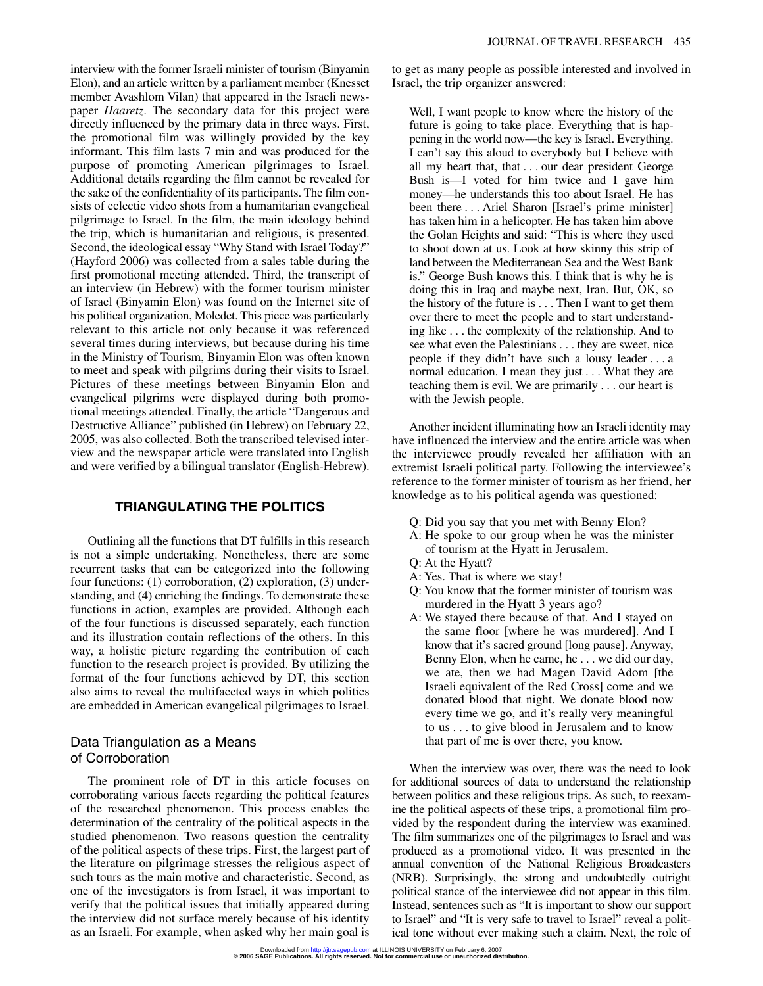interview with the former Israeli minister of tourism (Binyamin Elon), and an article written by a parliament member (Knesset member Avashlom Vilan) that appeared in the Israeli newspaper *Haaretz*. The secondary data for this project were directly influenced by the primary data in three ways. First, the promotional film was willingly provided by the key informant. This film lasts 7 min and was produced for the purpose of promoting American pilgrimages to Israel. Additional details regarding the film cannot be revealed for the sake of the confidentiality of its participants. The film consists of eclectic video shots from a humanitarian evangelical pilgrimage to Israel. In the film, the main ideology behind the trip, which is humanitarian and religious, is presented. Second, the ideological essay "Why Stand with Israel Today?" (Hayford 2006) was collected from a sales table during the first promotional meeting attended. Third, the transcript of an interview (in Hebrew) with the former tourism minister of Israel (Binyamin Elon) was found on the Internet site of his political organization, Moledet. This piece was particularly relevant to this article not only because it was referenced several times during interviews, but because during his time in the Ministry of Tourism, Binyamin Elon was often known to meet and speak with pilgrims during their visits to Israel. Pictures of these meetings between Binyamin Elon and evangelical pilgrims were displayed during both promotional meetings attended. Finally, the article "Dangerous and Destructive Alliance" published (in Hebrew) on February 22, 2005, was also collected. Both the transcribed televised interview and the newspaper article were translated into English and were verified by a bilingual translator (English-Hebrew).

# **TRIANGULATING THE POLITICS**

Outlining all the functions that DT fulfills in this research is not a simple undertaking. Nonetheless, there are some recurrent tasks that can be categorized into the following four functions: (1) corroboration, (2) exploration, (3) understanding, and (4) enriching the findings. To demonstrate these functions in action, examples are provided. Although each of the four functions is discussed separately, each function and its illustration contain reflections of the others. In this way, a holistic picture regarding the contribution of each function to the research project is provided. By utilizing the format of the four functions achieved by DT, this section also aims to reveal the multifaceted ways in which politics are embedded in American evangelical pilgrimages to Israel.

# Data Triangulation as a Means of Corroboration

The prominent role of DT in this article focuses on corroborating various facets regarding the political features of the researched phenomenon. This process enables the determination of the centrality of the political aspects in the studied phenomenon. Two reasons question the centrality of the political aspects of these trips. First, the largest part of the literature on pilgrimage stresses the religious aspect of such tours as the main motive and characteristic. Second, as one of the investigators is from Israel, it was important to verify that the political issues that initially appeared during the interview did not surface merely because of his identity as an Israeli. For example, when asked why her main goal is to get as many people as possible interested and involved in Israel, the trip organizer answered:

Well, I want people to know where the history of the future is going to take place. Everything that is happening in the world now—the key is Israel. Everything. I can't say this aloud to everybody but I believe with all my heart that, that . . . our dear president George Bush is—I voted for him twice and I gave him money—he understands this too about Israel. He has been there . . . Ariel Sharon [Israel's prime minister] has taken him in a helicopter. He has taken him above the Golan Heights and said: "This is where they used to shoot down at us. Look at how skinny this strip of land between the Mediterranean Sea and the West Bank is." George Bush knows this. I think that is why he is doing this in Iraq and maybe next, Iran. But, OK, so the history of the future is  $\dots$  Then I want to get them over there to meet the people and to start understanding like . . . the complexity of the relationship. And to see what even the Palestinians . . . they are sweet, nice people if they didn't have such a lousy leader ...a normal education. I mean they just . . . What they are teaching them is evil. We are primarily... our heart is with the Jewish people.

Another incident illuminating how an Israeli identity may have influenced the interview and the entire article was when the interviewee proudly revealed her affiliation with an extremist Israeli political party. Following the interviewee's reference to the former minister of tourism as her friend, her knowledge as to his political agenda was questioned:

- Q: Did you say that you met with Benny Elon?
- A: He spoke to our group when he was the minister of tourism at the Hyatt in Jerusalem.
- Q: At the Hyatt?
- A: Yes. That is where we stay!
- Q: You know that the former minister of tourism was murdered in the Hyatt 3 years ago?
- A: We stayed there because of that. And I stayed on the same floor [where he was murdered]. And I know that it's sacred ground [long pause]. Anyway, Benny Elon, when he came, he . . . we did our day, we ate, then we had Magen David Adom [the Israeli equivalent of the Red Cross] come and we donated blood that night. We donate blood now every time we go, and it's really very meaningful to us . . . to give blood in Jerusalem and to know that part of me is over there, you know.

When the interview was over, there was the need to look for additional sources of data to understand the relationship between politics and these religious trips. As such, to reexamine the political aspects of these trips, a promotional film provided by the respondent during the interview was examined. The film summarizes one of the pilgrimages to Israel and was produced as a promotional video. It was presented in the annual convention of the National Religious Broadcasters (NRB). Surprisingly, the strong and undoubtedly outright political stance of the interviewee did not appear in this film. Instead, sentences such as "It is important to show our support to Israel" and "It is very safe to travel to Israel" reveal a political tone without ever making such a claim. Next, the role of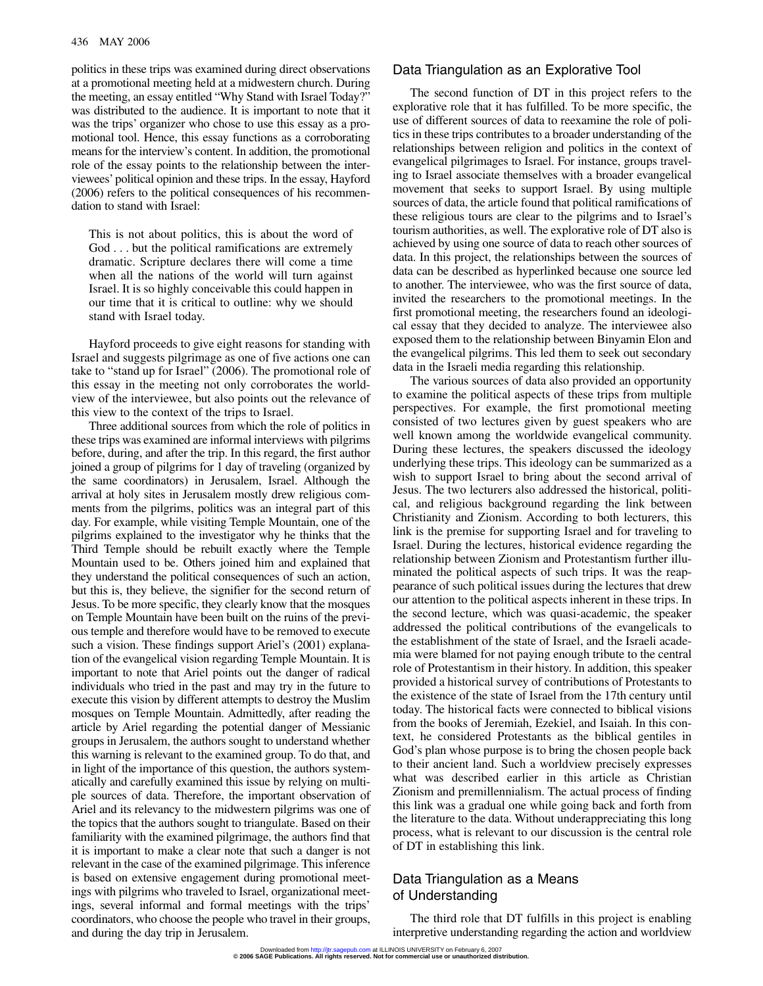politics in these trips was examined during direct observations at a promotional meeting held at a midwestern church. During the meeting, an essay entitled "Why Stand with Israel Today?" was distributed to the audience. It is important to note that it was the trips' organizer who chose to use this essay as a promotional tool. Hence, this essay functions as a corroborating means for the interview's content. In addition, the promotional role of the essay points to the relationship between the interviewees' political opinion and these trips. In the essay, Hayford (2006) refers to the political consequences of his recommendation to stand with Israel:

This is not about politics, this is about the word of God . . . but the political ramifications are extremely dramatic. Scripture declares there will come a time when all the nations of the world will turn against Israel. It is so highly conceivable this could happen in our time that it is critical to outline: why we should stand with Israel today.

Hayford proceeds to give eight reasons for standing with Israel and suggests pilgrimage as one of five actions one can take to "stand up for Israel" (2006). The promotional role of this essay in the meeting not only corroborates the worldview of the interviewee, but also points out the relevance of this view to the context of the trips to Israel.

Three additional sources from which the role of politics in these trips was examined are informal interviews with pilgrims before, during, and after the trip. In this regard, the first author joined a group of pilgrims for 1 day of traveling (organized by the same coordinators) in Jerusalem, Israel. Although the arrival at holy sites in Jerusalem mostly drew religious comments from the pilgrims, politics was an integral part of this day. For example, while visiting Temple Mountain, one of the pilgrims explained to the investigator why he thinks that the Third Temple should be rebuilt exactly where the Temple Mountain used to be. Others joined him and explained that they understand the political consequences of such an action, but this is, they believe, the signifier for the second return of Jesus. To be more specific, they clearly know that the mosques on Temple Mountain have been built on the ruins of the previous temple and therefore would have to be removed to execute such a vision. These findings support Ariel's (2001) explanation of the evangelical vision regarding Temple Mountain. It is important to note that Ariel points out the danger of radical individuals who tried in the past and may try in the future to execute this vision by different attempts to destroy the Muslim mosques on Temple Mountain. Admittedly, after reading the article by Ariel regarding the potential danger of Messianic groups in Jerusalem, the authors sought to understand whether this warning is relevant to the examined group. To do that, and in light of the importance of this question, the authors systematically and carefully examined this issue by relying on multiple sources of data. Therefore, the important observation of Ariel and its relevancy to the midwestern pilgrims was one of the topics that the authors sought to triangulate. Based on their familiarity with the examined pilgrimage, the authors find that it is important to make a clear note that such a danger is not relevant in the case of the examined pilgrimage. This inference is based on extensive engagement during promotional meetings with pilgrims who traveled to Israel, organizational meetings, several informal and formal meetings with the trips' coordinators, who choose the people who travel in their groups, and during the day trip in Jerusalem.

# Data Triangulation as an Explorative Tool

The second function of DT in this project refers to the explorative role that it has fulfilled. To be more specific, the use of different sources of data to reexamine the role of politics in these trips contributes to a broader understanding of the relationships between religion and politics in the context of evangelical pilgrimages to Israel. For instance, groups traveling to Israel associate themselves with a broader evangelical movement that seeks to support Israel. By using multiple sources of data, the article found that political ramifications of these religious tours are clear to the pilgrims and to Israel's tourism authorities, as well. The explorative role of DT also is achieved by using one source of data to reach other sources of data. In this project, the relationships between the sources of data can be described as hyperlinked because one source led to another. The interviewee, who was the first source of data, invited the researchers to the promotional meetings. In the first promotional meeting, the researchers found an ideological essay that they decided to analyze. The interviewee also exposed them to the relationship between Binyamin Elon and the evangelical pilgrims. This led them to seek out secondary data in the Israeli media regarding this relationship.

The various sources of data also provided an opportunity to examine the political aspects of these trips from multiple perspectives. For example, the first promotional meeting consisted of two lectures given by guest speakers who are well known among the worldwide evangelical community. During these lectures, the speakers discussed the ideology underlying these trips. This ideology can be summarized as a wish to support Israel to bring about the second arrival of Jesus. The two lecturers also addressed the historical, political, and religious background regarding the link between Christianity and Zionism. According to both lecturers, this link is the premise for supporting Israel and for traveling to Israel. During the lectures, historical evidence regarding the relationship between Zionism and Protestantism further illuminated the political aspects of such trips. It was the reappearance of such political issues during the lectures that drew our attention to the political aspects inherent in these trips. In the second lecture, which was quasi-academic, the speaker addressed the political contributions of the evangelicals to the establishment of the state of Israel, and the Israeli academia were blamed for not paying enough tribute to the central role of Protestantism in their history. In addition, this speaker provided a historical survey of contributions of Protestants to the existence of the state of Israel from the 17th century until today. The historical facts were connected to biblical visions from the books of Jeremiah, Ezekiel, and Isaiah. In this context, he considered Protestants as the biblical gentiles in God's plan whose purpose is to bring the chosen people back to their ancient land. Such a worldview precisely expresses what was described earlier in this article as Christian Zionism and premillennialism. The actual process of finding this link was a gradual one while going back and forth from the literature to the data. Without underappreciating this long process, what is relevant to our discussion is the central role of DT in establishing this link.

# Data Triangulation as a Means of Understanding

The third role that DT fulfills in this project is enabling interpretive understanding regarding the action and worldview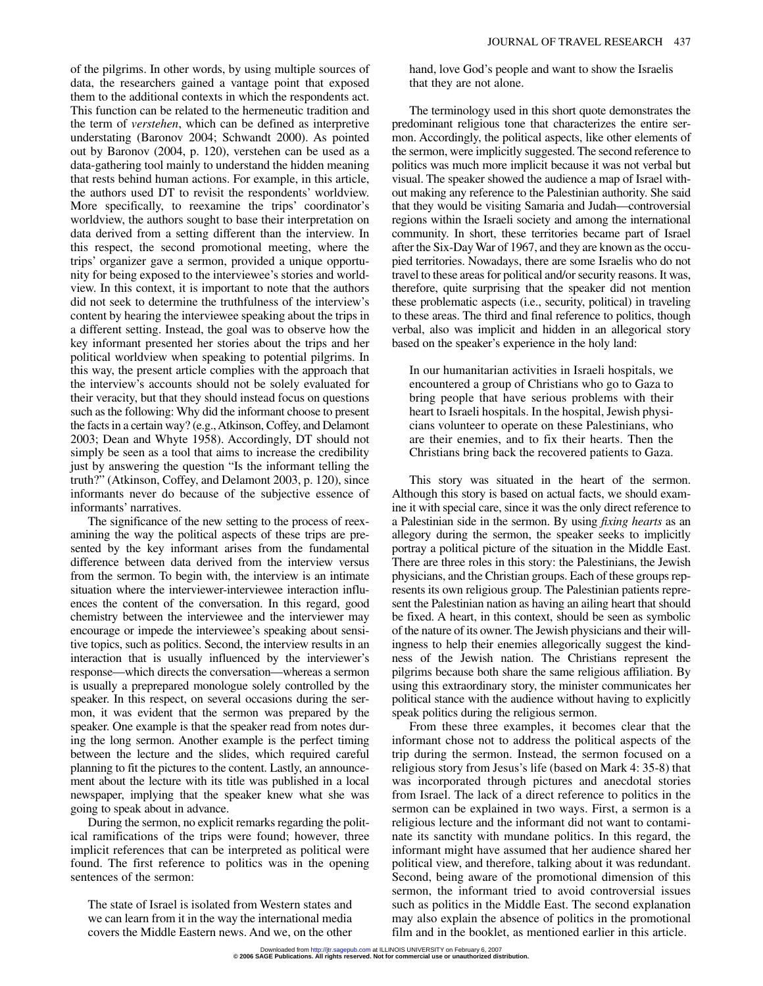of the pilgrims. In other words, by using multiple sources of data, the researchers gained a vantage point that exposed them to the additional contexts in which the respondents act. This function can be related to the hermeneutic tradition and the term of *verstehen*, which can be defined as interpretive understating (Baronov 2004; Schwandt 2000). As pointed out by Baronov (2004, p. 120), verstehen can be used as a data-gathering tool mainly to understand the hidden meaning that rests behind human actions. For example, in this article, the authors used DT to revisit the respondents' worldview. More specifically, to reexamine the trips' coordinator's worldview, the authors sought to base their interpretation on data derived from a setting different than the interview. In this respect, the second promotional meeting, where the trips' organizer gave a sermon, provided a unique opportunity for being exposed to the interviewee's stories and worldview. In this context, it is important to note that the authors did not seek to determine the truthfulness of the interview's content by hearing the interviewee speaking about the trips in a different setting. Instead, the goal was to observe how the key informant presented her stories about the trips and her political worldview when speaking to potential pilgrims. In this way, the present article complies with the approach that the interview's accounts should not be solely evaluated for their veracity, but that they should instead focus on questions such as the following: Why did the informant choose to present the facts in a certain way? (e.g.,Atkinson, Coffey, and Delamont 2003; Dean and Whyte 1958). Accordingly, DT should not simply be seen as a tool that aims to increase the credibility just by answering the question "Is the informant telling the truth?" (Atkinson, Coffey, and Delamont 2003, p. 120), since informants never do because of the subjective essence of informants' narratives.

The significance of the new setting to the process of reexamining the way the political aspects of these trips are presented by the key informant arises from the fundamental difference between data derived from the interview versus from the sermon. To begin with, the interview is an intimate situation where the interviewer-interviewee interaction influences the content of the conversation. In this regard, good chemistry between the interviewee and the interviewer may encourage or impede the interviewee's speaking about sensitive topics, such as politics. Second, the interview results in an interaction that is usually influenced by the interviewer's response—which directs the conversation—whereas a sermon is usually a preprepared monologue solely controlled by the speaker. In this respect, on several occasions during the sermon, it was evident that the sermon was prepared by the speaker. One example is that the speaker read from notes during the long sermon. Another example is the perfect timing between the lecture and the slides, which required careful planning to fit the pictures to the content. Lastly, an announcement about the lecture with its title was published in a local newspaper, implying that the speaker knew what she was going to speak about in advance.

During the sermon, no explicit remarks regarding the political ramifications of the trips were found; however, three implicit references that can be interpreted as political were found. The first reference to politics was in the opening sentences of the sermon:

The state of Israel is isolated from Western states and we can learn from it in the way the international media covers the Middle Eastern news. And we, on the other hand, love God's people and want to show the Israelis that they are not alone.

The terminology used in this short quote demonstrates the predominant religious tone that characterizes the entire sermon. Accordingly, the political aspects, like other elements of the sermon, were implicitly suggested. The second reference to politics was much more implicit because it was not verbal but visual. The speaker showed the audience a map of Israel without making any reference to the Palestinian authority. She said that they would be visiting Samaria and Judah—controversial regions within the Israeli society and among the international community. In short, these territories became part of Israel after the Six-Day War of 1967, and they are known as the occupied territories. Nowadays, there are some Israelis who do not travel to these areas for political and/or security reasons. It was, therefore, quite surprising that the speaker did not mention these problematic aspects (i.e., security, political) in traveling to these areas. The third and final reference to politics, though verbal, also was implicit and hidden in an allegorical story based on the speaker's experience in the holy land:

In our humanitarian activities in Israeli hospitals, we encountered a group of Christians who go to Gaza to bring people that have serious problems with their heart to Israeli hospitals. In the hospital, Jewish physicians volunteer to operate on these Palestinians, who are their enemies, and to fix their hearts. Then the Christians bring back the recovered patients to Gaza.

This story was situated in the heart of the sermon. Although this story is based on actual facts, we should examine it with special care, since it was the only direct reference to a Palestinian side in the sermon. By using *fixing hearts* as an allegory during the sermon, the speaker seeks to implicitly portray a political picture of the situation in the Middle East. There are three roles in this story: the Palestinians, the Jewish physicians, and the Christian groups. Each of these groups represents its own religious group. The Palestinian patients represent the Palestinian nation as having an ailing heart that should be fixed. A heart, in this context, should be seen as symbolic of the nature of its owner. The Jewish physicians and their willingness to help their enemies allegorically suggest the kindness of the Jewish nation. The Christians represent the pilgrims because both share the same religious affiliation. By using this extraordinary story, the minister communicates her political stance with the audience without having to explicitly speak politics during the religious sermon.

From these three examples, it becomes clear that the informant chose not to address the political aspects of the trip during the sermon. Instead, the sermon focused on a religious story from Jesus's life (based on Mark 4: 35-8) that was incorporated through pictures and anecdotal stories from Israel. The lack of a direct reference to politics in the sermon can be explained in two ways. First, a sermon is a religious lecture and the informant did not want to contaminate its sanctity with mundane politics. In this regard, the informant might have assumed that her audience shared her political view, and therefore, talking about it was redundant. Second, being aware of the promotional dimension of this sermon, the informant tried to avoid controversial issues such as politics in the Middle East. The second explanation may also explain the absence of politics in the promotional film and in the booklet, as mentioned earlier in this article.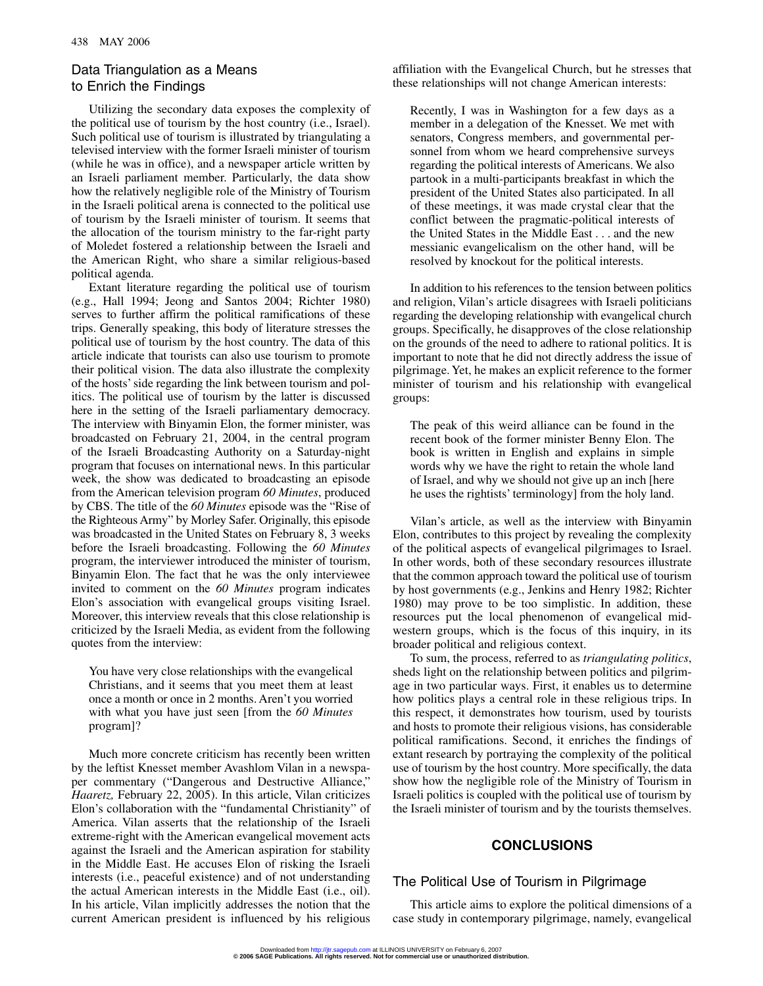# Data Triangulation as a Means to Enrich the Findings

Utilizing the secondary data exposes the complexity of the political use of tourism by the host country (i.e., Israel). Such political use of tourism is illustrated by triangulating a televised interview with the former Israeli minister of tourism (while he was in office), and a newspaper article written by an Israeli parliament member. Particularly, the data show how the relatively negligible role of the Ministry of Tourism in the Israeli political arena is connected to the political use of tourism by the Israeli minister of tourism. It seems that the allocation of the tourism ministry to the far-right party of Moledet fostered a relationship between the Israeli and the American Right, who share a similar religious-based political agenda.

Extant literature regarding the political use of tourism (e.g., Hall 1994; Jeong and Santos 2004; Richter 1980) serves to further affirm the political ramifications of these trips. Generally speaking, this body of literature stresses the political use of tourism by the host country. The data of this article indicate that tourists can also use tourism to promote their political vision. The data also illustrate the complexity of the hosts' side regarding the link between tourism and politics. The political use of tourism by the latter is discussed here in the setting of the Israeli parliamentary democracy. The interview with Binyamin Elon, the former minister, was broadcasted on February 21, 2004, in the central program of the Israeli Broadcasting Authority on a Saturday-night program that focuses on international news. In this particular week, the show was dedicated to broadcasting an episode from the American television program *60 Minutes*, produced by CBS. The title of the *60 Minutes* episode was the "Rise of the Righteous Army" by Morley Safer. Originally, this episode was broadcasted in the United States on February 8, 3 weeks before the Israeli broadcasting. Following the *60 Minutes* program, the interviewer introduced the minister of tourism, Binyamin Elon. The fact that he was the only interviewee invited to comment on the *60 Minutes* program indicates Elon's association with evangelical groups visiting Israel. Moreover, this interview reveals that this close relationship is criticized by the Israeli Media, as evident from the following quotes from the interview:

You have very close relationships with the evangelical Christians, and it seems that you meet them at least once a month or once in 2 months. Aren't you worried with what you have just seen [from the *60 Minutes* program]?

Much more concrete criticism has recently been written by the leftist Knesset member Avashlom Vilan in a newspaper commentary ("Dangerous and Destructive Alliance," *Haaretz,* February 22, 2005). In this article, Vilan criticizes Elon's collaboration with the "fundamental Christianity" of America. Vilan asserts that the relationship of the Israeli extreme-right with the American evangelical movement acts against the Israeli and the American aspiration for stability in the Middle East. He accuses Elon of risking the Israeli interests (i.e., peaceful existence) and of not understanding the actual American interests in the Middle East (i.e., oil). In his article, Vilan implicitly addresses the notion that the current American president is influenced by his religious

affiliation with the Evangelical Church, but he stresses that these relationships will not change American interests:

Recently, I was in Washington for a few days as a member in a delegation of the Knesset. We met with senators, Congress members, and governmental personnel from whom we heard comprehensive surveys regarding the political interests of Americans. We also partook in a multi-participants breakfast in which the president of the United States also participated. In all of these meetings, it was made crystal clear that the conflict between the pragmatic-political interests of the United States in the Middle East... and the new messianic evangelicalism on the other hand, will be resolved by knockout for the political interests.

In addition to his references to the tension between politics and religion, Vilan's article disagrees with Israeli politicians regarding the developing relationship with evangelical church groups. Specifically, he disapproves of the close relationship on the grounds of the need to adhere to rational politics. It is important to note that he did not directly address the issue of pilgrimage. Yet, he makes an explicit reference to the former minister of tourism and his relationship with evangelical groups:

The peak of this weird alliance can be found in the recent book of the former minister Benny Elon. The book is written in English and explains in simple words why we have the right to retain the whole land of Israel, and why we should not give up an inch [here he uses the rightists' terminology] from the holy land.

Vilan's article, as well as the interview with Binyamin Elon, contributes to this project by revealing the complexity of the political aspects of evangelical pilgrimages to Israel. In other words, both of these secondary resources illustrate that the common approach toward the political use of tourism by host governments (e.g., Jenkins and Henry 1982; Richter 1980) may prove to be too simplistic. In addition, these resources put the local phenomenon of evangelical midwestern groups, which is the focus of this inquiry, in its broader political and religious context.

To sum, the process, referred to as *triangulating politics*, sheds light on the relationship between politics and pilgrimage in two particular ways. First, it enables us to determine how politics plays a central role in these religious trips. In this respect, it demonstrates how tourism, used by tourists and hosts to promote their religious visions, has considerable political ramifications. Second, it enriches the findings of extant research by portraying the complexity of the political use of tourism by the host country. More specifically, the data show how the negligible role of the Ministry of Tourism in Israeli politics is coupled with the political use of tourism by the Israeli minister of tourism and by the tourists themselves.

## **CONCLUSIONS**

### The Political Use of Tourism in Pilgrimage

This article aims to explore the political dimensions of a case study in contemporary pilgrimage, namely, evangelical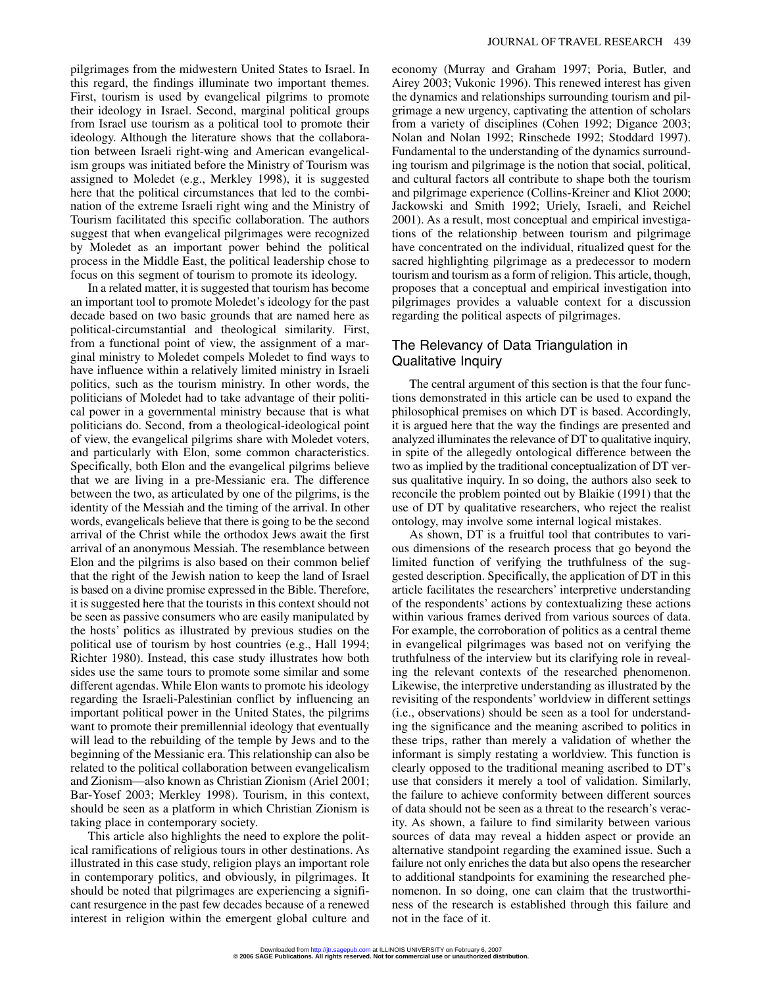pilgrimages from the midwestern United States to Israel. In this regard, the findings illuminate two important themes. First, tourism is used by evangelical pilgrims to promote their ideology in Israel. Second, marginal political groups from Israel use tourism as a political tool to promote their ideology. Although the literature shows that the collaboration between Israeli right-wing and American evangelicalism groups was initiated before the Ministry of Tourism was assigned to Moledet (e.g., Merkley 1998), it is suggested here that the political circumstances that led to the combination of the extreme Israeli right wing and the Ministry of Tourism facilitated this specific collaboration. The authors suggest that when evangelical pilgrimages were recognized by Moledet as an important power behind the political process in the Middle East, the political leadership chose to focus on this segment of tourism to promote its ideology.

In a related matter, it is suggested that tourism has become an important tool to promote Moledet's ideology for the past decade based on two basic grounds that are named here as political-circumstantial and theological similarity. First, from a functional point of view, the assignment of a marginal ministry to Moledet compels Moledet to find ways to have influence within a relatively limited ministry in Israeli politics, such as the tourism ministry. In other words, the politicians of Moledet had to take advantage of their political power in a governmental ministry because that is what politicians do. Second, from a theological-ideological point of view, the evangelical pilgrims share with Moledet voters, and particularly with Elon, some common characteristics. Specifically, both Elon and the evangelical pilgrims believe that we are living in a pre-Messianic era. The difference between the two, as articulated by one of the pilgrims, is the identity of the Messiah and the timing of the arrival. In other words, evangelicals believe that there is going to be the second arrival of the Christ while the orthodox Jews await the first arrival of an anonymous Messiah. The resemblance between Elon and the pilgrims is also based on their common belief that the right of the Jewish nation to keep the land of Israel is based on a divine promise expressed in the Bible. Therefore, it is suggested here that the tourists in this context should not be seen as passive consumers who are easily manipulated by the hosts' politics as illustrated by previous studies on the political use of tourism by host countries (e.g., Hall 1994; Richter 1980). Instead, this case study illustrates how both sides use the same tours to promote some similar and some different agendas. While Elon wants to promote his ideology regarding the Israeli-Palestinian conflict by influencing an important political power in the United States, the pilgrims want to promote their premillennial ideology that eventually will lead to the rebuilding of the temple by Jews and to the beginning of the Messianic era. This relationship can also be related to the political collaboration between evangelicalism and Zionism—also known as Christian Zionism (Ariel 2001; Bar-Yosef 2003; Merkley 1998). Tourism, in this context, should be seen as a platform in which Christian Zionism is taking place in contemporary society.

This article also highlights the need to explore the political ramifications of religious tours in other destinations. As illustrated in this case study, religion plays an important role in contemporary politics, and obviously, in pilgrimages. It should be noted that pilgrimages are experiencing a significant resurgence in the past few decades because of a renewed interest in religion within the emergent global culture and economy (Murray and Graham 1997; Poria, Butler, and Airey 2003; Vukonic 1996). This renewed interest has given the dynamics and relationships surrounding tourism and pilgrimage a new urgency, captivating the attention of scholars from a variety of disciplines (Cohen 1992; Digance 2003; Nolan and Nolan 1992; Rinschede 1992; Stoddard 1997). Fundamental to the understanding of the dynamics surrounding tourism and pilgrimage is the notion that social, political, and cultural factors all contribute to shape both the tourism and pilgrimage experience (Collins-Kreiner and Kliot 2000; Jackowski and Smith 1992; Uriely, Israeli, and Reichel 2001). As a result, most conceptual and empirical investigations of the relationship between tourism and pilgrimage have concentrated on the individual, ritualized quest for the sacred highlighting pilgrimage as a predecessor to modern tourism and tourism as a form of religion. This article, though, proposes that a conceptual and empirical investigation into pilgrimages provides a valuable context for a discussion regarding the political aspects of pilgrimages.

# The Relevancy of Data Triangulation in Qualitative Inquiry

The central argument of this section is that the four functions demonstrated in this article can be used to expand the philosophical premises on which DT is based. Accordingly, it is argued here that the way the findings are presented and analyzed illuminates the relevance of DT to qualitative inquiry, in spite of the allegedly ontological difference between the two as implied by the traditional conceptualization of DT versus qualitative inquiry. In so doing, the authors also seek to reconcile the problem pointed out by Blaikie (1991) that the use of DT by qualitative researchers, who reject the realist ontology, may involve some internal logical mistakes.

As shown, DT is a fruitful tool that contributes to various dimensions of the research process that go beyond the limited function of verifying the truthfulness of the suggested description. Specifically, the application of DT in this article facilitates the researchers' interpretive understanding of the respondents' actions by contextualizing these actions within various frames derived from various sources of data. For example, the corroboration of politics as a central theme in evangelical pilgrimages was based not on verifying the truthfulness of the interview but its clarifying role in revealing the relevant contexts of the researched phenomenon. Likewise, the interpretive understanding as illustrated by the revisiting of the respondents' worldview in different settings (i.e., observations) should be seen as a tool for understanding the significance and the meaning ascribed to politics in these trips, rather than merely a validation of whether the informant is simply restating a worldview. This function is clearly opposed to the traditional meaning ascribed to DT's use that considers it merely a tool of validation. Similarly, the failure to achieve conformity between different sources of data should not be seen as a threat to the research's veracity. As shown, a failure to find similarity between various sources of data may reveal a hidden aspect or provide an alternative standpoint regarding the examined issue. Such a failure not only enriches the data but also opens the researcher to additional standpoints for examining the researched phenomenon. In so doing, one can claim that the trustworthiness of the research is established through this failure and not in the face of it.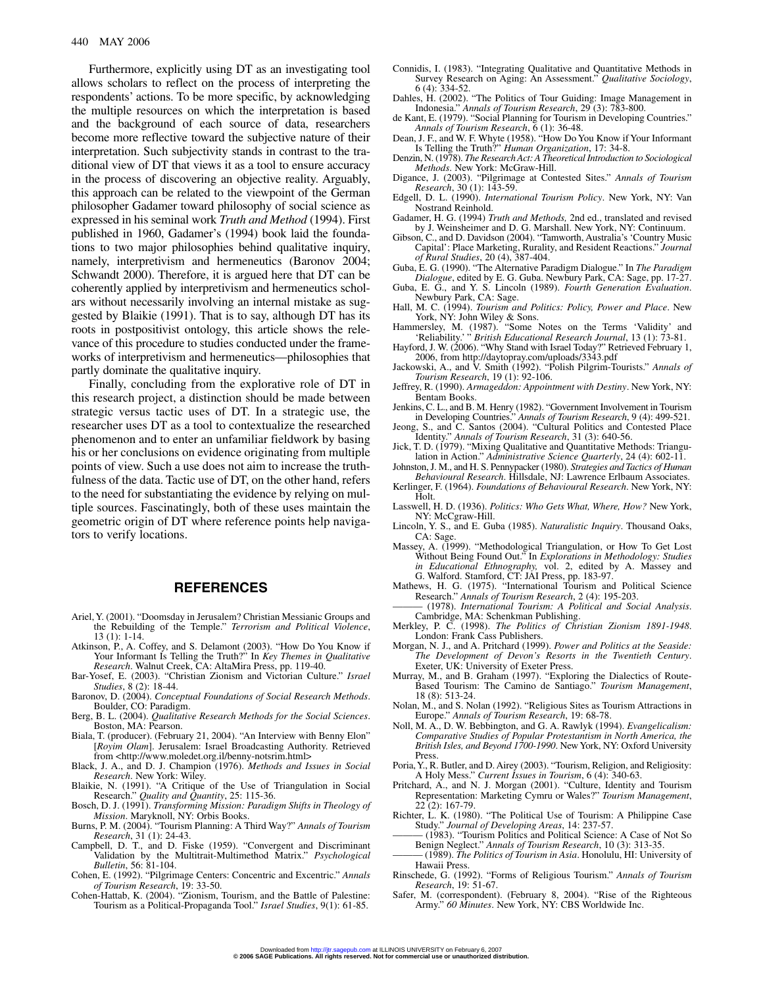Furthermore, explicitly using DT as an investigating tool allows scholars to reflect on the process of interpreting the respondents' actions. To be more specific, by acknowledging the multiple resources on which the interpretation is based and the background of each source of data, researchers become more reflective toward the subjective nature of their interpretation. Such subjectivity stands in contrast to the traditional view of DT that views it as a tool to ensure accuracy in the process of discovering an objective reality. Arguably, this approach can be related to the viewpoint of the German philosopher Gadamer toward philosophy of social science as expressed in his seminal work *Truth and Method* (1994). First published in 1960, Gadamer's (1994) book laid the foundations to two major philosophies behind qualitative inquiry, namely, interpretivism and hermeneutics (Baronov 2004; Schwandt 2000). Therefore, it is argued here that DT can be coherently applied by interpretivism and hermeneutics scholars without necessarily involving an internal mistake as suggested by Blaikie (1991). That is to say, although DT has its roots in postpositivist ontology, this article shows the relevance of this procedure to studies conducted under the frameworks of interpretivism and hermeneutics—philosophies that partly dominate the qualitative inquiry.

Finally, concluding from the explorative role of DT in this research project, a distinction should be made between strategic versus tactic uses of DT. In a strategic use, the researcher uses DT as a tool to contextualize the researched phenomenon and to enter an unfamiliar fieldwork by basing his or her conclusions on evidence originating from multiple points of view. Such a use does not aim to increase the truthfulness of the data. Tactic use of DT, on the other hand, refers to the need for substantiating the evidence by relying on multiple sources. Fascinatingly, both of these uses maintain the geometric origin of DT where reference points help navigators to verify locations.

# **REFERENCES**

- Ariel,Y. (2001). "Doomsday in Jerusalem? Christian Messianic Groups and the Rebuilding of the Temple." *Terrorism and Political Violence*, 13 (1): 1-14.
- Atkinson, P., A. Coffey, and S. Delamont (2003). "How Do You Know if Your Informant Is Telling the Truth?" In *Key Themes in Qualitative Research*. Walnut Creek, CA: AltaMira Press, pp. 119-40.
- Bar-Yosef, E. (2003). "Christian Zionism and Victorian Culture." *Israel*
- *Studies*, 8 (2): 18-44. Baronov, D. (2004). *Conceptual Foundations of Social Research Methods*.
- Boulder, CO: Paradigm. Berg, B. L. (2004). *Qualitative Research Methods for the Social Sciences*.
- Boston, MA: Pearson. Biala, T. (producer). (February 21, 2004). "An Interview with Benny Elon"
- [*Royim Olam*]. Jerusalem: Israel Broadcasting Authority. Retrieved from <http://www.moledet.org.il/benny-notsrim.html> Black, J. A., and D. J. Champion (1976). *Methods and Issues in Social*
- *Research*. New York: Wiley.
- Blaikie, N. (1991). "A Critique of the Use of Triangulation in Social Research." *Quality and Quantity*, 25: 115-36.
- Bosch, D. J. (1991). *Transforming Mission: Paradigm Shifts in Theology of Mission*. Maryknoll, NY: Orbis Books.
- Burns, P. M. (2004). "Tourism Planning: A Third Way?" *Annals of Tourism Research*, 31 (1): 24-43.
- Campbell, D. T., and D. Fiske (1959). "Convergent and Discriminant Validation by the Multitrait-Multimethod Matrix." *Psychological Bulletin*, 56: 81-104.
- Cohen, E. (1992). "Pilgrimage Centers: Concentric and Excentric." *Annals of Tourism Research*, 19: 33-50.
- Cohen-Hattab, K. (2004). "Zionism, Tourism, and the Battle of Palestine: Tourism as a Political-Propaganda Tool." *Israel Studies*, 9(1): 61-85.
- Connidis, I. (1983). "Integrating Qualitative and Quantitative Methods in Survey Research on Aging: An Assessment." *Qualitative Sociology*, 6 (4): 334-52.
- Dahles, H. (2002). "The Politics of Tour Guiding: Image Management in Indonesia." *Annals of Tourism Research*, 29 (3): 783-800.
- de Kant, E. (1979). "Social Planning for Tourism in Developing Countries." *Annals of Tourism Research*, 6 (1): 36-48.
- Dean, J. F., and W. F. Whyte (1958). "How Do You Know if Your Informant Is Telling the Truth?" *Human Organization*, 17: 34-8.
- Denzin, N. (1978). *The Research Act: A Theoretical Introduction to Sociological Methods*. New York: McGraw-Hill.
- Digance, J. (2003). "Pilgrimage at Contested Sites." *Annals of Tourism Research*, 30 (1): 143-59.
- Edgell, D. L. (1990). *International Tourism Policy*. New York, NY: Van Nostrand Reinhold.
- Gadamer, H. G. (1994) *Truth and Methods,* 2nd ed., translated and revised by J. Weinsheimer and D. G. Marshall. New York, NY: Continuum.
- Gibson, C., and D. Davidson (2004). "Tamworth, Australia's 'Country Music Capital': Place Marketing, Rurality, and Resident Reactions." *Journal of Rural Studies*, 20 (4), 387-404.
- Guba, E. G. (1990). "The Alternative Paradigm Dialogue." In *The Paradigm Dialogue*, edited by E. G. Guba. Newbury Park, CA: Sage, pp. 17-27.
- Guba, E. G., and Y. S. Lincoln (1989). *Fourth Generation Evaluation*. Newbury Park, CA: Sage.
- Hall, M. C. (1994). *Tourism and Politics: Policy, Power and Place*. New York, NY: John Wiley & Sons.
- Hammersley, M. (1987). "Some Notes on the Terms 'Validity' and 'Reliability.' " *British Educational Research Journal*, 13 (1): 73-81.
- Hayford, J. W. (2006). "Why Stand with Israel Today?" Retrieved February 1, 2006, from http://daytopray.com/uploads/3343.pdf
- Jackowski, A., and V. Smith (1992). "Polish Pilgrim-Tourists." *Annals of Tourism Research*, 19 (1): 92-106.
- Jeffrey, R. (1990). *Armageddon: Appointment with Destiny*. New York, NY: Bentam Books.
- Jenkins, C. L., and B. M. Henry (1982). "Government Involvement in Tourism in Developing Countries." *Annals of Tourism Research*, 9 (4): 499-521.
- Jeong, S., and C. Santos (2004). "Cultural Politics and Contested Place Identity." *Annals of Tourism Research*, 31 (3): 640-56.
- Jick, T. D. (1979). "Mixing Qualitative and Quantitative Methods: Triangulation in Action." *Administrative Science Quarterly*, 24 (4): 602-11.
- Johnston, J. M., and H. S. Pennypacker (1980). *Strategies and Tactics of Human Behavioural Research*. Hillsdale, NJ: Lawrence Erlbaum Associates.
- Kerlinger, F. (1964). *Foundations of Behavioural Research*. New York, NY: Holt.
- Lasswell, H. D. (1936). *Politics: Who Gets What, Where, How?* New York, NY: McCgraw-Hill.
- Lincoln, Y. S., and E. Guba (1985). *Naturalistic Inquiry*. Thousand Oaks, CA: Sage.
- Massey, A. (1999). "Methodological Triangulation, or How To Get Lost Without Being Found Out." In *Explorations in Methodology: Studies in Educational Ethnography,* vol. 2, edited by A. Massey and G. Walford. Stamford, CT: JAI Press, pp. 183-97.
- Mathews, H. G. (1975). "International Tourism and Political Science Research." *Annals of Tourism Research*, 2 (4): 195-203.
- ——— (1978). *International Tourism: A Political and Social Analysis*. Cambridge, MA: Schenkman Publishing.
- Merkley, P. C. (1998). *The Politics of Christian Zionism 1891-1948*. London: Frank Cass Publishers.
- Morgan, N. J., and A. Pritchard (1999). *Power and Politics at the Seaside: The Development of Devon's Resorts in the Twentieth Century*. Exeter, UK: University of Exeter Press.
- Murray, M., and B. Graham (1997). "Exploring the Dialectics of Route-Based Tourism: The Camino de Santiago." *Tourism Management*, 18 (8): 513-24.
- Nolan, M., and S. Nolan (1992). "Religious Sites as Tourism Attractions in Europe." *Annals of Tourism Research*, 19: 68-78.
- Noll, M. A., D. W. Bebbington, and G. A. Rawlyk (1994). *Evangelicalism: Comparative Studies of Popular Protestantism in North America, the British Isles, and Beyond 1700-1990*. New York, NY: Oxford University **Press**
- Poria,Y., R. Butler, and D. Airey (2003). "Tourism, Religion, and Religiosity: A Holy Mess." *Current Issues in Tourism*, 6 (4): 340-63.
- Pritchard, A., and N. J. Morgan (2001). "Culture, Identity and Tourism Representation: Marketing Cymru or Wales?" *Tourism Management*,  $22^{\degree}(2)$ : 167-79.
- Richter, L. K. (1980). "The Political Use of Tourism: A Philippine Case Study." *Journal of Developing Areas*, 14: 237-57.
- ——— (1983). "Tourism Politics and Political Science: A Case of Not So Benign Neglect." *Annals of Tourism Research*, 10 (3): 313-35. ——— (1989). *The Politics of Tourism in Asia*. Honolulu, HI: University of
- Hawaii Press. Rinschede, G. (1992). "Forms of Religious Tourism." *Annals of Tourism*
- *Research*, 19: 51-67.
- Safer, M. (correspondent). (February 8, 2004). "Rise of the Righteous Army." *60 Minutes*. New York, NY: CBS Worldwide Inc.